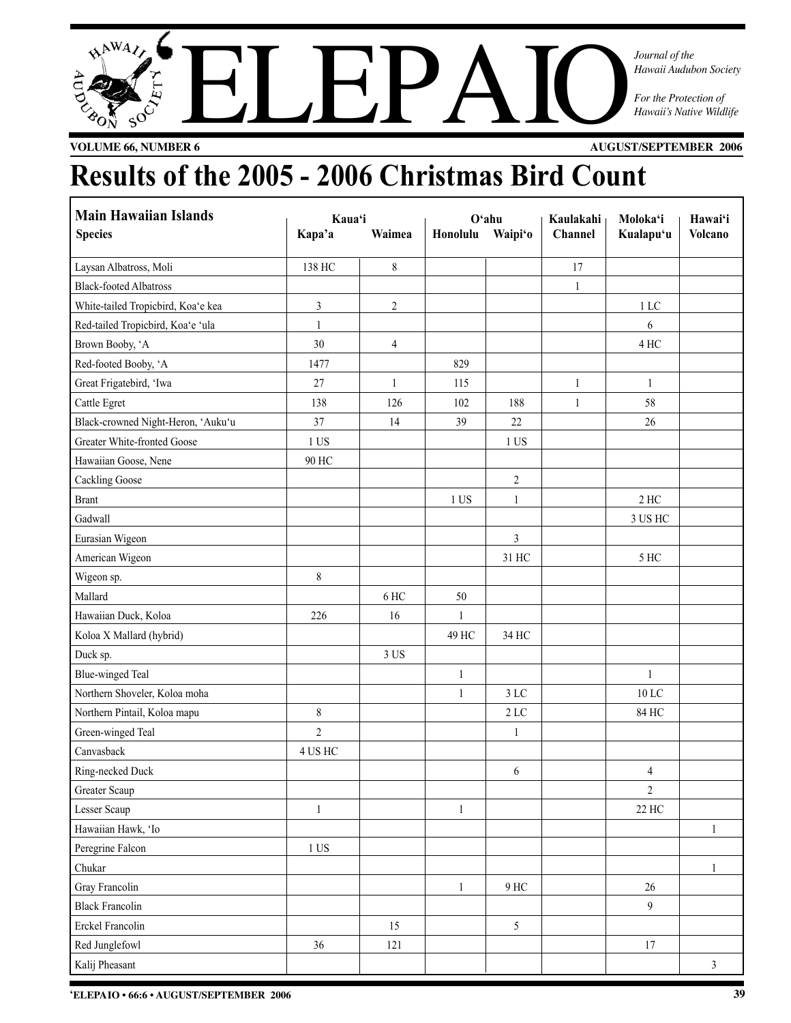# $A^{NMA}$ For the Protection of Faxaii Audubon Society<br>For the Protection of Faxaii's Native Wildlife<br>References

*Journal of the Hawaii Audubon Society*

**VOLUME 66, NUMBER 6 AUGUST/SEPTEMBER 2006**

## **Results of the 2005 - 2006 Christmas Bird Count**

| <b>Main Hawaiian Islands</b>       | Kaua'i           |                |                 | $O4$ ahu       | Kaulakahi    | Moloka'i          | Hawai'i        |
|------------------------------------|------------------|----------------|-----------------|----------------|--------------|-------------------|----------------|
| <b>Species</b>                     | Kapa'a           | Waimea         | Honolulu        | Waipi'o        | Channel      | Kualapu'u         | <b>Volcano</b> |
| Laysan Albatross, Moli             | 138 HC           | 8              |                 |                | 17           |                   |                |
| <b>Black-footed Albatross</b>      |                  |                |                 |                | $\mathbf{1}$ |                   |                |
| White-tailed Tropicbird, Koa'e kea | 3                | $\overline{c}$ |                 |                |              | $1\,\mathrm{LC}$  |                |
| Red-tailed Tropicbird, Koa'e 'ula  | 1                |                |                 |                |              | 6                 |                |
| Brown Booby, 'A                    | 30               | 4              |                 |                |              | 4 HC              |                |
| Red-footed Booby, 'A               | 1477             |                | 829             |                |              |                   |                |
| Great Frigatebird, 'Iwa            | 27               | $\mathbf{1}$   | 115             |                | $\mathbf{1}$ | $\mathbf{1}$      |                |
| Cattle Egret                       | 138              | 126            | 102             | 188            | $\mathbf{1}$ | 58                |                |
| Black-crowned Night-Heron, 'Auku'u | 37               | 14             | 39              | $22\,$         |              | 26                |                |
| Greater White-fronted Goose        | 1 US             |                |                 | 1 US           |              |                   |                |
| Hawaiian Goose, Nene               | 90 HC            |                |                 |                |              |                   |                |
| <b>Cackling Goose</b>              |                  |                |                 | $\overline{c}$ |              |                   |                |
| <b>Brant</b>                       |                  |                | 1 <sup>US</sup> | $\mathbf{1}$   |              | $2$ HC $\,$       |                |
| Gadwall                            |                  |                |                 |                |              | 3 US HC           |                |
| Eurasian Wigeon                    |                  |                |                 | $\mathfrak{Z}$ |              |                   |                |
| American Wigeon                    |                  |                |                 | 31 HC          |              | 5 HC              |                |
| Wigeon sp.                         | 8                |                |                 |                |              |                   |                |
| Mallard                            |                  | 6 HC           | 50              |                |              |                   |                |
| Hawaiian Duck, Koloa               | 226              | 16             | 1               |                |              |                   |                |
| Koloa X Mallard (hybrid)           |                  |                | 49 HC           | 34 HC          |              |                   |                |
| Duck sp.                           |                  | 3 US           |                 |                |              |                   |                |
| <b>Blue-winged Teal</b>            |                  |                | $\mathbf{1}$    |                |              | $\mathbf{1}$      |                |
| Northern Shoveler, Koloa moha      |                  |                | $\mathbf{1}$    | 3 LC           |              | $10\,\mathrm{LC}$ |                |
| Northern Pintail, Koloa mapu       | $\,8\,$          |                |                 | 2 LC           |              | 84 HC             |                |
| Green-winged Teal                  | $\overline{c}$   |                |                 | $\mathbf{1}$   |              |                   |                |
| Canvasback                         | 4 US HC          |                |                 |                |              |                   |                |
| Ring-necked Duck                   |                  |                |                 | 6              |              | $\overline{4}$    |                |
| Greater Scaup                      |                  |                |                 |                |              | $\boldsymbol{2}$  |                |
| Lesser Scaup                       | $\mathbf{1}$     |                | $\mathbf{1}$    |                |              | 22 HC             |                |
| Hawaiian Hawk, 'Io                 |                  |                |                 |                |              |                   | $\mathbf{1}$   |
| Peregrine Falcon                   | $1\,\mathrm{US}$ |                |                 |                |              |                   |                |
| Chukar                             |                  |                |                 |                |              |                   | $\mathbf{1}$   |
| Gray Francolin                     |                  |                | $\mathbf{1}$    | 9 HC           |              | $26\,$            |                |
| <b>Black Francolin</b>             |                  |                |                 |                |              | $\overline{9}$    |                |
| Erckel Francolin                   |                  | 15             |                 | 5              |              |                   |                |
| Red Junglefowl                     | 36               | 121            |                 |                |              | 17                |                |
| Kalij Pheasant                     |                  |                |                 |                |              |                   | $\mathfrak{Z}$ |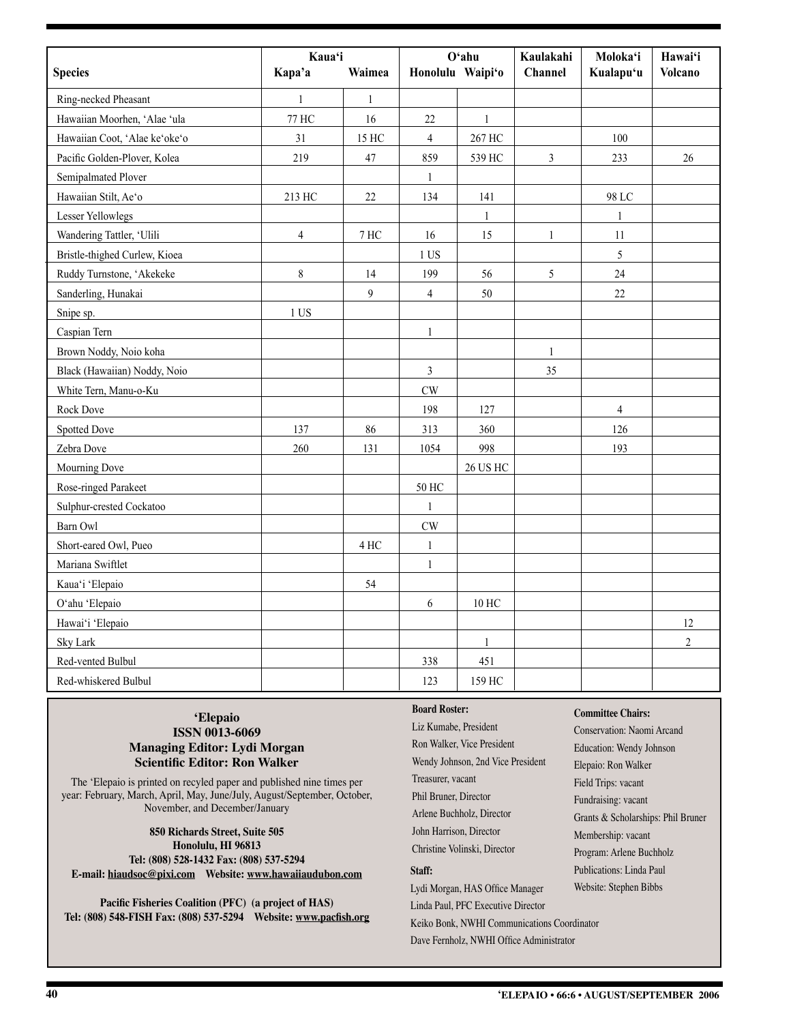|                               | Kaua'i         |              | O'ahu            |                 | Kaulakahi    | Moloka'i       | Hawai'i          |
|-------------------------------|----------------|--------------|------------------|-----------------|--------------|----------------|------------------|
| <b>Species</b>                | Kapa'a         | Waimea       | Honolulu Waipi'o |                 | Channel      | Kualapu'u      | <b>Volcano</b>   |
| Ring-necked Pheasant          | $\mathbf{1}$   | $\mathbf{1}$ |                  |                 |              |                |                  |
| Hawaiian Moorhen, 'Alae 'ula  | 77 HC          | 16           | 22               | $\mathbf{1}$    |              |                |                  |
| Hawaiian Coot, 'Alae ke'oke'o | 31             | 15 HC        | $\overline{4}$   | 267 HC          |              | 100            |                  |
| Pacific Golden-Plover, Kolea  | 219            | 47           | 859              | 539 HC          | 3            | 233            | 26               |
| Semipalmated Plover           |                |              | $\mathbf{1}$     |                 |              |                |                  |
| Hawaiian Stilt, Ae'o          | 213 HC         | 22           | 134              | 141             |              | 98 LC          |                  |
| <b>Lesser Yellowlegs</b>      |                |              |                  | $\mathbf{1}$    |              | $\mathbf{1}$   |                  |
| Wandering Tattler, 'Ulili     | $\overline{4}$ | 7 HC         | 16               | 15              | $\mathbf{1}$ | 11             |                  |
| Bristle-thighed Curlew, Kioea |                |              | 1 US             |                 |              | 5              |                  |
| Ruddy Turnstone, 'Akekeke     | $8\,$          | 14           | 199              | 56              | 5            | 24             |                  |
| Sanderling, Hunakai           |                | 9            | $\overline{4}$   | 50              |              | 22             |                  |
| Snipe sp.                     | 1 US           |              |                  |                 |              |                |                  |
| Caspian Tern                  |                |              | $\mathbf{1}$     |                 |              |                |                  |
| Brown Noddy, Noio koha        |                |              |                  |                 | $\mathbf{1}$ |                |                  |
| Black (Hawaiian) Noddy, Noio  |                |              | 3                |                 | 35           |                |                  |
| White Tern, Manu-o-Ku         |                |              | CW               |                 |              |                |                  |
| Rock Dove                     |                |              | 198              | 127             |              | $\overline{4}$ |                  |
| <b>Spotted Dove</b>           | 137            | 86           | 313              | 360             |              | 126            |                  |
| Zebra Dove                    | 260            | 131          | 1054             | 998             |              | 193            |                  |
| Mourning Dove                 |                |              |                  | <b>26 US HC</b> |              |                |                  |
| Rose-ringed Parakeet          |                |              | 50 HC            |                 |              |                |                  |
| Sulphur-crested Cockatoo      |                |              | $\mathbf{1}$     |                 |              |                |                  |
| Barn Owl                      |                |              | CW               |                 |              |                |                  |
| Short-eared Owl, Pueo         |                | 4 HC         | $\mathbf{1}$     |                 |              |                |                  |
| Mariana Swiftlet              |                |              | $\mathbf{1}$     |                 |              |                |                  |
| Kaua'i 'Elepaio               |                | 54           |                  |                 |              |                |                  |
| O'ahu 'Elepaio                |                |              | 6                | 10 HC           |              |                |                  |
| Hawai'i 'Elepaio              |                |              |                  |                 |              |                | 12               |
| Sky Lark                      |                |              |                  | $\mathbf{1}$    |              |                | $\boldsymbol{2}$ |
| Red-vented Bulbul             |                |              | 338              | 451             |              |                |                  |
| Red-whiskered Bulbul          |                |              | 123              | 159 HC          |              |                |                  |

#### **'Elepaio ISSN 0013-6069 Managing Editor: Lydi Morgan Scientific Editor: Ron Walker**

The 'Elepaio is printed on recyled paper and published nine times per year: February, March, April, May, June/July, August/September, October, November, and December/January

**850 Richards Street, Suite 505 Honolulu, HI 96813 Tel: (808) 528-1432 Fax: (808) 537-5294 E-mail: hiaudsoc@pixi.com Website: www.hawaiiaudubon.com**

**Pacific Fisheries Coalition (PFC) (a project of HAS) Tel: (808) 548-FISH Fax: (808) 537-5294 Website: www.pacfish.org**

#### **Board Roster:**

Liz Kumabe, President Ron Walker, Vice President Wendy Johnson, 2nd Vice President Treasurer, vacant Phil Bruner, Director Arlene Buchholz, Director John Harrison, Director Christine Volinski, Director **Staff:** Lydi Morgan, HAS Office Manager

Linda Paul, PFC Executive Director

Keiko Bonk, NWHI Communications Coordinator Dave Fernholz, NWHI Office Administrator

#### **Committee Chairs:**

Conservation: Naomi Arcand Education: Wendy Johnson Elepaio: Ron Walker Field Trips: vacant Fundraising: vacant Grants & Scholarships: Phil Bruner Membership: vacant Program: Arlene Buchholz Publications: Linda Paul Website: Stephen Bibbs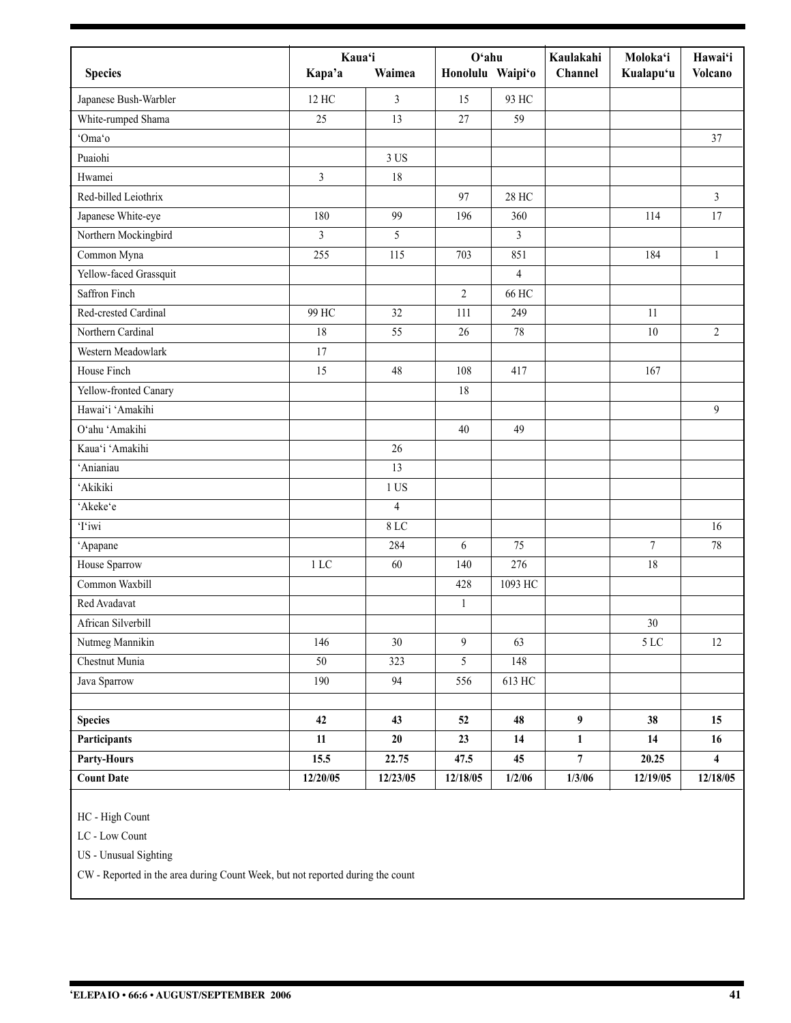| <b>Species</b>         | Kaua'i<br>Kapa'a | Waimea         | $O4$ ahu<br>Honolulu Waipi'o |                | Kaulakahi<br>Channel | Moloka'i<br>Kualapu'u | Hawai'i<br><b>Volcano</b> |
|------------------------|------------------|----------------|------------------------------|----------------|----------------------|-----------------------|---------------------------|
| Japanese Bush-Warbler  | 12 HC            | 3              | 15                           | 93 HC          |                      |                       |                           |
| White-rumped Shama     | 25               | 13             | 27                           | 59             |                      |                       |                           |
| 'Oma'o                 |                  |                |                              |                |                      |                       | 37                        |
| Puaiohi                |                  | 3 US           |                              |                |                      |                       |                           |
| Hwamei                 | 3                | 18             |                              |                |                      |                       |                           |
| Red-billed Leiothrix   |                  |                | 97                           | <b>28 HC</b>   |                      |                       | 3                         |
| Japanese White-eye     | 180              | 99             | 196                          | 360            |                      | 114                   | 17                        |
| Northern Mockingbird   | 3                | 5              |                              | 3              |                      |                       |                           |
| Common Myna            | 255              | 115            | 703                          | 851            |                      | 184                   | $\mathbf{1}$              |
| Yellow-faced Grassquit |                  |                |                              | $\overline{4}$ |                      |                       |                           |
| Saffron Finch          |                  |                | 2                            | 66 HC          |                      |                       |                           |
| Red-crested Cardinal   | 99 HC            | 32             | 111                          | 249            |                      | 11                    |                           |
| Northern Cardinal      | 18               | 55             | 26                           | 78             |                      | 10                    | $\overline{2}$            |
| Western Meadowlark     | 17               |                |                              |                |                      |                       |                           |
| House Finch            | 15               | 48             | 108                          | 417            |                      | 167                   |                           |
| Yellow-fronted Canary  |                  |                | 18                           |                |                      |                       |                           |
| Hawai'i 'Amakihi       |                  |                |                              |                |                      |                       | 9                         |
| O'ahu 'Amakihi         |                  |                | 40                           | 49             |                      |                       |                           |
| Kaua'i 'Amakihi        |                  | 26             |                              |                |                      |                       |                           |
| 'Anianiau              |                  | 13             |                              |                |                      |                       |                           |
| 'Akikiki               |                  | $1$ US         |                              |                |                      |                       |                           |
| 'Akeke'e               |                  | $\overline{4}$ |                              |                |                      |                       |                           |
| Tiwi                   |                  | 8 LC           |                              |                |                      |                       | 16                        |
| 'Apapane               |                  | 284            | 6                            | 75             |                      | $\overline{7}$        | $78\,$                    |
| House Sparrow          | 1 LC             | 60             | 140                          | 276            |                      | 18                    |                           |
| Common Waxbill         |                  |                | 428                          | 1093 HC        |                      |                       |                           |
| Red Avadavat           |                  |                | $\mathbf{1}$                 |                |                      |                       |                           |
| African Silverbill     |                  |                |                              |                |                      | $30\,$                |                           |
| Nutmeg Mannikin        | 146              | 30             | 9                            | 63             |                      | $5\,{\rm LC}$         | $12\,$                    |
| Chestnut Munia         | 50               | 323            | 5                            | 148            |                      |                       |                           |
| Java Sparrow           | 190              | 94             | 556                          | 613 HC         |                      |                       |                           |
| <b>Species</b>         | 42               | 43             | 52                           | 48             | $\boldsymbol{9}$     | 38                    | 15                        |
| <b>Participants</b>    | 11               | 20             | 23                           | 14             | $\mathbf{1}$         | 14                    | 16                        |
| Party-Hours            | 15.5             | 22.75          | 47.5                         | 45             | $\overline{7}$       | 20.25                 | $\overline{\mathbf{4}}$   |
| <b>Count Date</b>      | 12/20/05         | 12/23/05       | 12/18/05                     | 1/2/06         | 1/3/06               | 12/19/05              | 12/18/05                  |

HC - High Count

LC - Low Count

US - Unusual Sighting

CW - Reported in the area during Count Week, but not reported during the count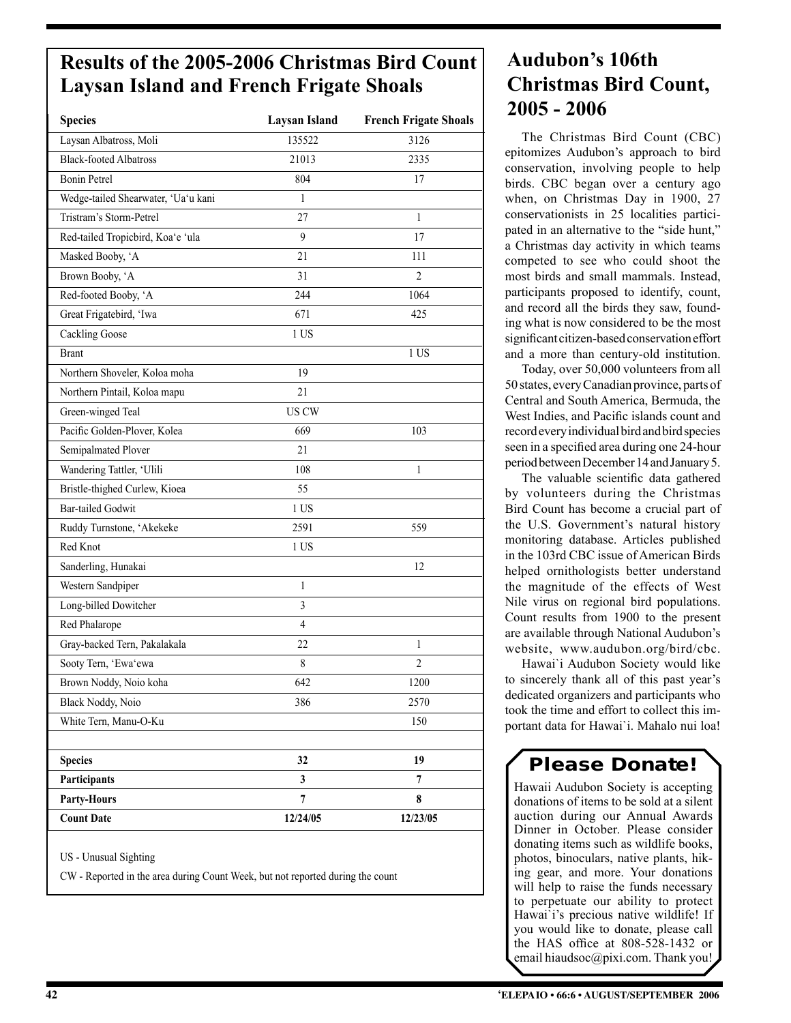### **Results of the 2005-2006 Christmas Bird Count Laysan Island and French Frigate Shoals**

| <b>Species</b>                      | <b>Laysan Island</b> | <b>French Frigate Shoals</b> |
|-------------------------------------|----------------------|------------------------------|
| Laysan Albatross, Moli              | 135522               | 3126                         |
| <b>Black-footed Albatross</b>       | 21013                | 2335                         |
| <b>Bonin Petrel</b>                 | 804                  | 17                           |
| Wedge-tailed Shearwater, 'Ua'u kani | 1                    |                              |
| Tristram's Storm-Petrel             | 27                   | 1                            |
| Red-tailed Tropicbird, Koa'e 'ula   | 9                    | 17                           |
| Masked Booby, 'A                    | 21                   | 111                          |
| Brown Booby, 'A                     | 31                   | 2                            |
| Red-footed Booby, 'A                | 244                  | 1064                         |
| Great Frigatebird, 'Iwa             | 671                  | 425                          |
| <b>Cackling Goose</b>               | 1 US                 |                              |
| <b>Brant</b>                        |                      | 1 US                         |
| Northern Shoveler, Koloa moha       | 19                   |                              |
| Northern Pintail, Koloa mapu        | 21                   |                              |
| Green-winged Teal                   | <b>US CW</b>         |                              |
| Pacific Golden-Plover, Kolea        | 669                  | 103                          |
| Semipalmated Plover                 | 21                   |                              |
| Wandering Tattler, 'Ulili           | 108                  | 1                            |
| Bristle-thighed Curlew, Kioea       | 55                   |                              |
| <b>Bar-tailed Godwit</b>            | 1 US                 |                              |
| Ruddy Turnstone, 'Akekeke           | 2591                 | 559                          |
| Red Knot                            | 1 US                 |                              |
| Sanderling, Hunakai                 |                      | 12                           |
| Western Sandpiper                   | 1                    |                              |
| Long-billed Dowitcher               | $\mathfrak{Z}$       |                              |
| Red Phalarope                       | 4                    |                              |
| Gray-backed Tern, Pakalakala        | 22                   | 1                            |
| Sooty Tern, 'Ewa'ewa                | 8                    | $\overline{c}$               |
| Brown Noddy, Noio koha              | 642                  | 1200                         |
| Black Noddy, Noio                   | 386                  | 2570                         |
| White Tern, Manu-O-Ku               |                      | 150                          |
|                                     |                      |                              |
| <b>Species</b>                      | 32                   | 19                           |
| Participants                        | $\mathbf{3}$         | 7                            |
| <b>Party-Hours</b>                  | 7                    | 8                            |
| <b>Count Date</b>                   | 12/24/05             | 12/23/05                     |

US - Unusual Sighting

CW - Reported in the area during Count Week, but not reported during the count

### **Audubon's 106th Christmas Bird Count, 2005 - 2006**

The Christmas Bird Count (CBC) epitomizes Audubon's approach to bird conservation, involving people to help birds. CBC began over a century ago when, on Christmas Day in 1900, 27 conservationists in 25 localities participated in an alternative to the "side hunt," a Christmas day activity in which teams competed to see who could shoot the most birds and small mammals. Instead, participants proposed to identify, count, and record all the birds they saw, founding what is now considered to be the most significant citizen-based conservation effort and a more than century-old institution.

Today, over 50,000 volunteers from all 50 states, every Canadian province, parts of Central and South America, Bermuda, the West Indies, and Pacific islands count and record every individual bird and bird species seen in a specified area during one 24-hour period between December 14 and January 5.

The valuable scientific data gathered by volunteers during the Christmas Bird Count has become a crucial part of the U.S. Government's natural history monitoring database. Articles published in the 103rd CBC issue of American Birds helped ornithologists better understand the magnitude of the effects of West Nile virus on regional bird populations. Count results from 1900 to the present are available through National Audubon's website, www.audubon.org/bird/cbc.

Hawai`i Audubon Society would like to sincerely thank all of this past year's dedicated organizers and participants who took the time and effort to collect this important data for Hawai`i. Mahalo nui loa!

### **Please Donate!**

Hawaii Audubon Society is accepting donations of items to be sold at a silent auction during our Annual Awards Dinner in October. Please consider donating items such as wildlife books, photos, binoculars, native plants, hiking gear, and more. Your donations will help to raise the funds necessary to perpetuate our ability to protect Hawai`i's precious native wildlife! If you would like to donate, please call the HAS office at 808-528-1432 or email hiaudsoc@pixi.com. Thank you!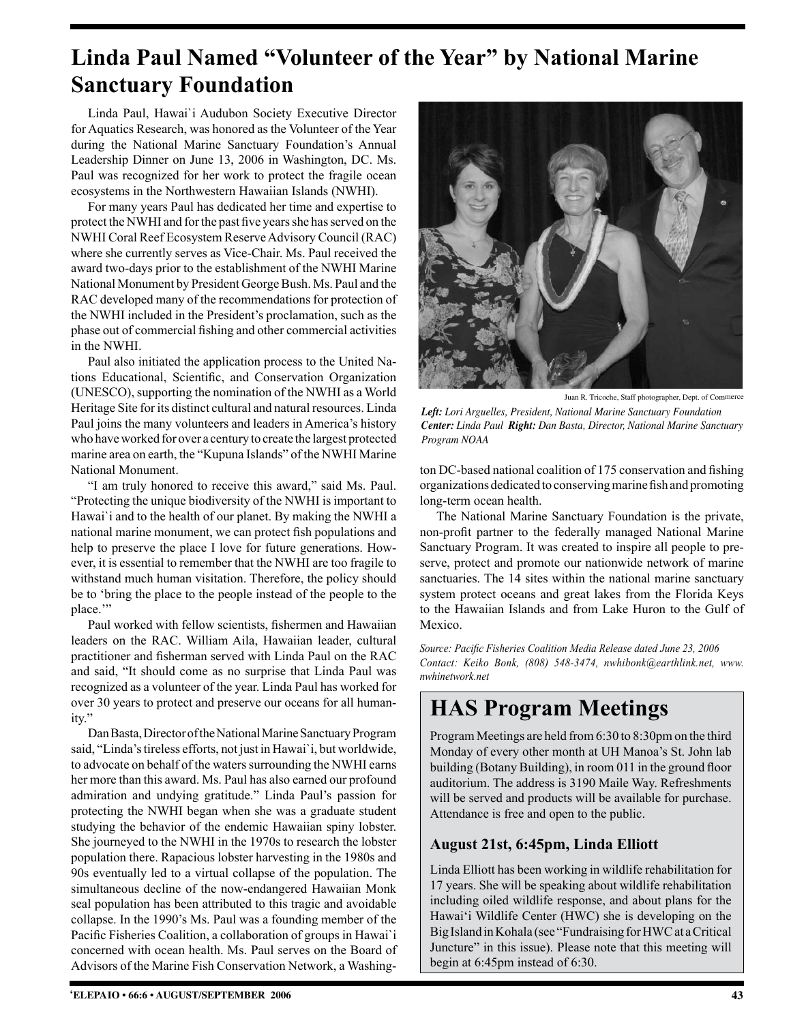### **Linda Paul Named "Volunteer of the Year" by National Marine Sanctuary Foundation**

Linda Paul, Hawai`i Audubon Society Executive Director for Aquatics Research, was honored as the Volunteer of the Year during the National Marine Sanctuary Foundation's Annual Leadership Dinner on June 13, 2006 in Washington, DC. Ms. Paul was recognized for her work to protect the fragile ocean ecosystems in the Northwestern Hawaiian Islands (NWHI).

For many years Paul has dedicated her time and expertise to protect the NWHI and for the past five years she has served on the NWHI Coral Reef Ecosystem Reserve Advisory Council (RAC) where she currently serves as Vice-Chair. Ms. Paul received the award two-days prior to the establishment of the NWHI Marine National Monument by President George Bush. Ms. Paul and the RAC developed many of the recommendations for protection of the NWHI included in the President's proclamation, such as the phase out of commercial fishing and other commercial activities in the NWHI.

Paul also initiated the application process to the United Nations Educational, Scientific, and Conservation Organization (UNESCO), supporting the nomination of the NWHI as a World Heritage Site for its distinct cultural and natural resources. Linda Paul joins the many volunteers and leaders in America's history who have worked for over a century to create the largest protected marine area on earth, the "Kupuna Islands" of the NWHI Marine National Monument.

"I am truly honored to receive this award," said Ms. Paul. "Protecting the unique biodiversity of the NWHI is important to Hawai'i and to the health of our planet. By making the NWHI a national marine monument, we can protect fish populations and help to preserve the place I love for future generations. However, it is essential to remember that the NWHI are too fragile to withstand much human visitation. Therefore, the policy should be to 'bring the place to the people instead of the people to the place."

Paul worked with fellow scientists, fishermen and Hawaiian leaders on the RAC. William Aila, Hawaiian leader, cultural practitioner and fisherman served with Linda Paul on the RAC and said, "It should come as no surprise that Linda Paul was recognized as a volunteer of the year. Linda Paul has worked for over 30 years to protect and preserve our oceans for all humanity."

Dan Basta, Director of the National Marine Sanctuary Program said, "Linda's tireless efforts, not just in Hawai`i, but worldwide, to advocate on behalf of the waters surrounding the NWHI earns her more than this award. Ms. Paul has also earned our profound admiration and undying gratitude." Linda Paul's passion for protecting the NWHI began when she was a graduate student studying the behavior of the endemic Hawaiian spiny lobster. She journeyed to the NWHI in the 1970s to research the lobster population there. Rapacious lobster harvesting in the 1980s and 90s eventually led to a virtual collapse of the population. The simultaneous decline of the now-endangered Hawaiian Monk seal population has been attributed to this tragic and avoidable collapse. In the 1990's Ms. Paul was a founding member of the Pacific Fisheries Coalition, a collaboration of groups in Hawai`i concerned with ocean health. Ms. Paul serves on the Board of Advisors of the Marine Fish Conservation Network, a Washing-



Juan R. Tricoche, Staff photographer, Dept. of Commerce

*Left: Lori Arguelles, President, National Marine Sanctuary Foundation Center: Linda Paul Right: Dan Basta, Director, National Marine Sanctuary Program NOAA*

ton DC-based national coalition of 175 conservation and fishing organizations dedicated to conserving marine fish and promoting long-term ocean health.

The National Marine Sanctuary Foundation is the private, non-profit partner to the federally managed National Marine Sanctuary Program. It was created to inspire all people to preserve, protect and promote our nationwide network of marine sanctuaries. The 14 sites within the national marine sanctuary system protect oceans and great lakes from the Florida Keys to the Hawaiian Islands and from Lake Huron to the Gulf of Mexico.

*Source: Pacific Fisheries Coalition Media Release dated June 23, 2006 Contact: Keiko Bonk, (808) 548-3474, nwhibonk@earthlink.net, www. nwhinetwork.net*

### **HAS Program Meetings**

Program Meetings are held from 6:30 to 8:30pm on the third Monday of every other month at UH Manoa's St. John lab building (Botany Building), in room 011 in the ground floor auditorium. The address is 3190 Maile Way. Refreshments will be served and products will be available for purchase. Attendance is free and open to the public.

#### **August 21st, 6:45pm, Linda Elliott**

Linda Elliott has been working in wildlife rehabilitation for 17 years. She will be speaking about wildlife rehabilitation including oiled wildlife response, and about plans for the Hawai'i Wildlife Center (HWC) she is developing on the Big Island in Kohala (see "Fundraising for HWC at a Critical Juncture" in this issue). Please note that this meeting will begin at 6:45pm instead of 6:30.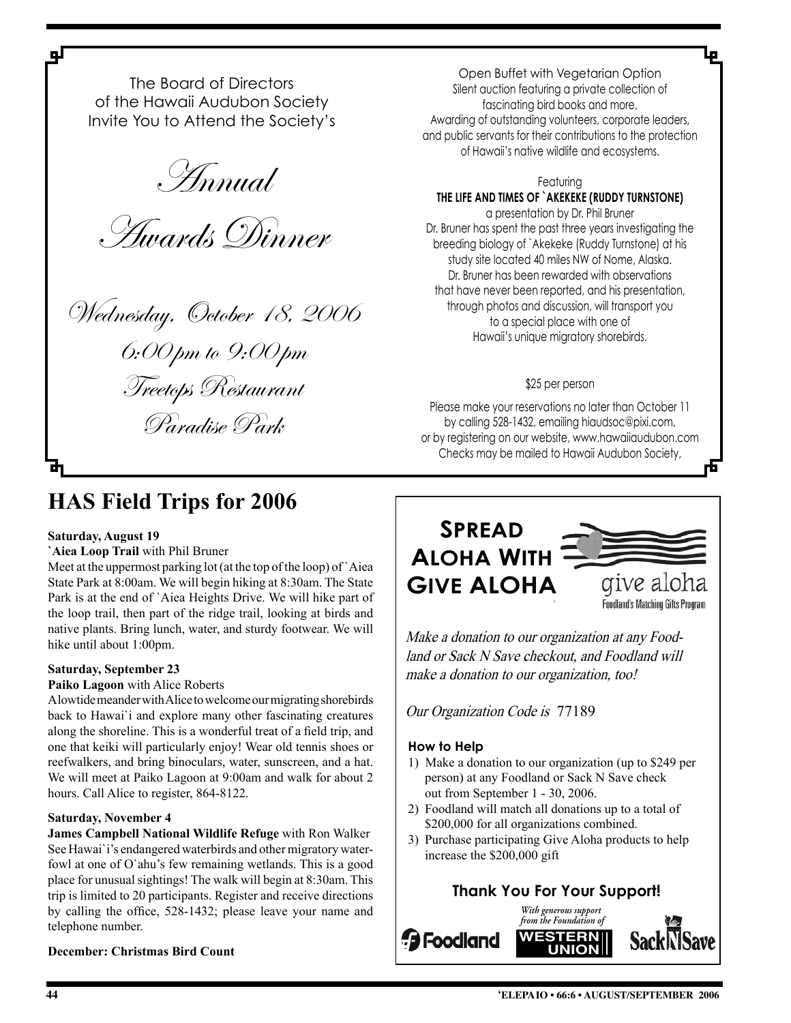The Board of Directors of the Hawaii Audubon Society Invite You to Attend the Society's

Annual

Awards Dinner

Wednesday, October 18, 2006 6:00 pm to 9:00 pm Treetops Restaurant

Paradise Park

Open Buffet with Vegetarian Option Silent auction featuring a private collection of fascinating bird books and more. Awarding of outstanding volunteers, corporate leaders, and public servants for their contributions to the protection of Hawaii's native wildlife and ecosystems.

#### Featuring

### **THE LIFE AND TIMES OF `AKEKEKE (RUDDY TURNSTONE)**

a presentation by Dr. Phil Bruner Dr. Bruner has spent the past three years investigating the breeding biology of `Akekeke (Ruddy Turnstone) at his study site located 40 miles NW of Nome, Alaska. Dr. Bruner has been rewarded with observations that have never been reported, and his presentation, through photos and discussion, will transport you to a special place with one of Hawaii's unique migratory shorebirds.

#### \$25 per person

Please make your reservations no later than October 11 by calling 528-1432, emailing hiaudsoc@pixi.com, or by registering on our website, www.hawaiiaudubon.com Checks may be mailed to Hawaii Audubon Society,

### **HAS Field Trips for 2006**

#### **Saturday, August 19**

цſ

**`Aiea Loop Trail** with Phil Bruner

Meet at the uppermost parking lot (at the top of the loop) of `Aiea State Park at 8:00am. We will begin hiking at 8:30am. The State Park is at the end of `Aiea Heights Drive. We will hike part of the loop trail, then part of the ridge trail, looking at birds and native plants. Bring lunch, water, and sturdy footwear. We will hike until about 1:00pm.

#### **Saturday, September 23**

#### **Paiko Lagoon** with Alice Roberts

A lowtide meander with Alice to welcome our migrating shorebirds back to Hawai`i and explore many other fascinating creatures along the shoreline. This is a wonderful treat of a field trip, and one that keiki will particularly enjoy! Wear old tennis shoes or reefwalkers, and bring binoculars, water, sunscreen, and a hat. We will meet at Paiko Lagoon at 9:00am and walk for about 2 hours. Call Alice to register, 864-8122.

#### **Saturday, November 4**

**James Campbell National Wildlife Refuge** with Ron Walker See Hawai`i's endangered waterbirds and other migratory waterfowl at one of O`ahu's few remaining wetlands. This is a good place for unusual sightings! The walk will begin at 8:30am. This trip is limited to 20 participants. Register and receive directions by calling the office, 528-1432; please leave your name and telephone number.



Make a donation to our organization at any Foodland or Sack N Save checkout, and Foodland will make a donation to our organization, too!

Our Organization Code is 77189

#### **How to Help**

- 1) Make a donation to our organization (up to \$249 per person) at any Foodland or Sack N Save check out from September 1 - 30, 2006.
- 2) Foodland will match all donations up to a total of \$200,000 for all organizations combined.
- 3) Purchase participating Give Aloha products to help increase the \$200,000 gift

### **Thank You For Your Support!**



**December: Christmas Bird Count**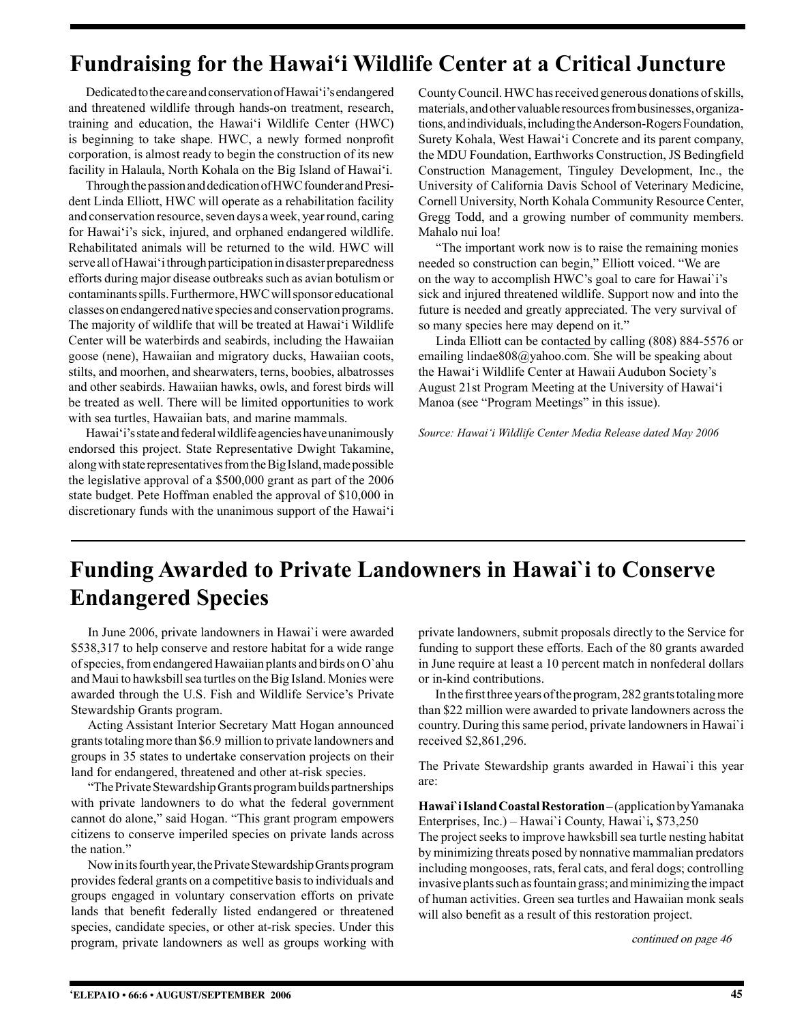### **Fundraising for the Hawai'i Wildlife Center at a Critical Juncture**

Dedicated to the care and conservation of Hawai'i's endangered and threatened wildlife through hands-on treatment, research, training and education, the Hawai'i Wildlife Center (HWC) is beginning to take shape. HWC, a newly formed nonprofit corporation, is almost ready to begin the construction of its new facility in Halaula, North Kohala on the Big Island of Hawai'i.

Through the passion and dedication of HWC founder and President Linda Elliott, HWC will operate as a rehabilitation facility and conservation resource, seven days a week, year round, caring for Hawai'i's sick, injured, and orphaned endangered wildlife. Rehabilitated animals will be returned to the wild. HWC will serve all of Hawai'i through participation in disaster preparedness efforts during major disease outbreaks such as avian botulism or contaminants spills. Furthermore, HWC will sponsor educational classes on endangered native species and conservation programs. The majority of wildlife that will be treated at Hawai'i Wildlife Center will be waterbirds and seabirds, including the Hawaiian goose (nene), Hawaiian and migratory ducks, Hawaiian coots, stilts, and moorhen, and shearwaters, terns, boobies, albatrosses and other seabirds. Hawaiian hawks, owls, and forest birds will be treated as well. There will be limited opportunities to work with sea turtles, Hawaiian bats, and marine mammals.

Hawai'i's state and federal wildlife agencies have unanimously endorsed this project. State Representative Dwight Takamine, along with state representatives from the Big Island, made possible the legislative approval of a \$500,000 grant as part of the 2006 state budget. Pete Hoffman enabled the approval of \$10,000 in discretionary funds with the unanimous support of the Hawai'i County Council. HWC has received generous donations of skills, materials, and other valuable resources from businesses, organizations, and individuals, including the Anderson-Rogers Foundation, Surety Kohala, West Hawai'i Concrete and its parent company, the MDU Foundation, Earthworks Construction, JS Bedingfield Construction Management, Tinguley Development, Inc., the University of California Davis School of Veterinary Medicine, Cornell University, North Kohala Community Resource Center, Gregg Todd, and a growing number of community members. Mahalo nui loa!

"The important work now is to raise the remaining monies needed so construction can begin," Elliott voiced. "We are on the way to accomplish HWC's goal to care for Hawai`i's sick and injured threatened wildlife. Support now and into the future is needed and greatly appreciated. The very survival of so many species here may depend on it."

Linda Elliott can be contacted by calling (808) 884-5576 or emailing lindae808@yahoo.com. She will be speaking about the Hawai'i Wildlife Center at Hawaii Audubon Society's August 21st Program Meeting at the University of Hawai'i Manoa (see "Program Meetings" in this issue).

*Source: Hawai'i Wildlife Center Media Release dated May 2006*

### **Funding Awarded to Private Landowners in Hawai`i to Conserve Endangered Species**

In June 2006, private landowners in Hawai`i were awarded \$538,317 to help conserve and restore habitat for a wide range of species, from endangered Hawaiian plants and birds on O`ahu and Maui to hawksbill sea turtles on the Big Island. Monies were awarded through the U.S. Fish and Wildlife Service's Private Stewardship Grants program.

Acting Assistant Interior Secretary Matt Hogan announced grants totaling more than \$6.9 million to private landowners and groups in 35 states to undertake conservation projects on their land for endangered, threatened and other at-risk species.

"The Private Stewardship Grants program builds partnerships with private landowners to do what the federal government cannot do alone," said Hogan. "This grant program empowers citizens to conserve imperiled species on private lands across the nation."

Now in its fourth year, the Private Stewardship Grants program provides federal grants on a competitive basis to individuals and groups engaged in voluntary conservation efforts on private lands that benefit federally listed endangered or threatened species, candidate species, or other at-risk species. Under this program, private landowners as well as groups working with private landowners, submit proposals directly to the Service for funding to support these efforts. Each of the 80 grants awarded in June require at least a 10 percent match in nonfederal dollars or in-kind contributions.

In the first three years of the program, 282 grants totaling more than \$22 million were awarded to private landowners across the country. During this same period, private landowners in Hawai`i received \$2,861,296.

The Private Stewardship grants awarded in Hawai`i this year are:

Hawai'i Island Coastal Restoration-(application by Yamanaka Enterprises, Inc.) – Hawai`i County, Hawai`i**,** \$73,250

The project seeks to improve hawksbill sea turtle nesting habitat by minimizing threats posed by nonnative mammalian predators including mongooses, rats, feral cats, and feral dogs; controlling invasive plants such as fountain grass; and minimizing the impact of human activities. Green sea turtles and Hawaiian monk seals will also benefit as a result of this restoration project.

continued on page 46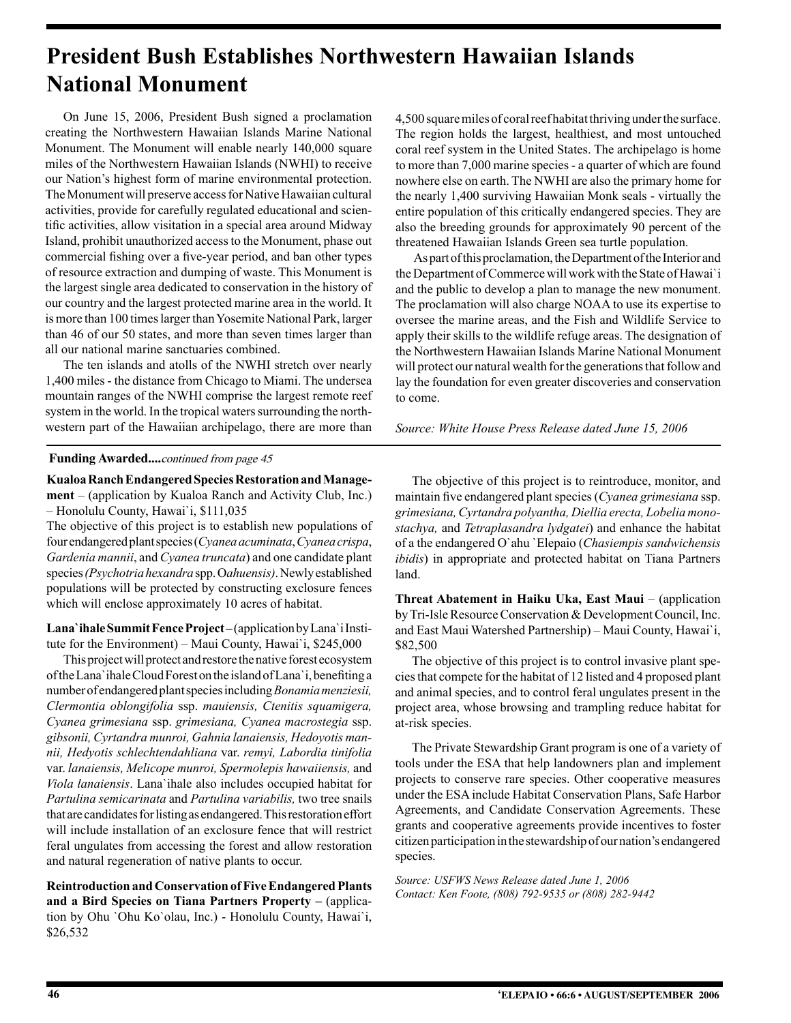### **President Bush Establishes Northwestern Hawaiian Islands National Monument**

On June 15, 2006, President Bush signed a proclamation creating the Northwestern Hawaiian Islands Marine National Monument. The Monument will enable nearly 140,000 square miles of the Northwestern Hawaiian Islands (NWHI) to receive our Nation's highest form of marine environmental protection. The Monument will preserve access for Native Hawaiian cultural activities, provide for carefully regulated educational and scientific activities, allow visitation in a special area around Midway Island, prohibit unauthorized access to the Monument, phase out commercial fishing over a five-year period, and ban other types of resource extraction and dumping of waste. This Monument is the largest single area dedicated to conservation in the history of our country and the largest protected marine area in the world. It is more than 100 times larger than Yosemite National Park, larger than 46 of our 50 states, and more than seven times larger than all our national marine sanctuaries combined.

The ten islands and atolls of the NWHI stretch over nearly 1,400 miles - the distance from Chicago to Miami. The undersea mountain ranges of the NWHI comprise the largest remote reef system in the world. In the tropical waters surrounding the northwestern part of the Hawaiian archipelago, there are more than

4,500 square miles of coral reef habitat thriving under the surface. The region holds the largest, healthiest, and most untouched coral reef system in the United States. The archipelago is home to more than 7,000 marine species - a quarter of which are found nowhere else on earth. The NWHI are also the primary home for the nearly 1,400 surviving Hawaiian Monk seals - virtually the entire population of this critically endangered species. They are also the breeding grounds for approximately 90 percent of the threatened Hawaiian Islands Green sea turtle population.

As part of this proclamation, the Department of the Interior and the Department of Commerce will work with the State of Hawai`i and the public to develop a plan to manage the new monument. The proclamation will also charge NOAA to use its expertise to oversee the marine areas, and the Fish and Wildlife Service to apply their skills to the wildlife refuge areas. The designation of the Northwestern Hawaiian Islands Marine National Monument will protect our natural wealth for the generations that follow and lay the foundation for even greater discoveries and conservation to come.

*Source: White House Press Release dated June 15, 2006*

#### **Funding Awarded....**continued from page 45

**Kualoa Ranch Endangered Species Restoration and Management** – (application by Kualoa Ranch and Activity Club, Inc.)

– Honolulu County, Hawai`i, \$111,035

The objective of this project is to establish new populations of four endangered plant species (*Cyanea acuminata*, *Cyanea crispa*, *Gardenia mannii*, and *Cyanea truncata*) and one candidate plant species *(Psychotria hexandra* spp. O*ahuensis)*. Newly established populations will be protected by constructing exclosure fences which will enclose approximately 10 acres of habitat.

Lana`ihale Summit Fence Project-(application by Lana`i Institute for the Environment) – Maui County, Hawai`i, \$245,000

This project will protect and restore the native forest ecosystem of the Lana`ihale Cloud Forest on the island of Lana`i, benefiting a number of endangered plant species including *Bonamia menziesii, Clermontia oblongifolia* ssp. *mauiensis, Ctenitis squamigera, Cyanea grimesiana* ssp. *grimesiana, Cyanea macrostegia* ssp. *gibsonii, Cyrtandra munroi, Gahnia lanaiensis, Hedoyotis mannii, Hedyotis schlechtendahliana* var. *remyi, Labordia tinifolia*  var. *lanaiensis, Melicope munroi, Spermolepis hawaiiensis,* and *Viola lanaiensis*. Lana`ihale also includes occupied habitat for *Partulina semicarinata* and *Partulina variabilis,* two tree snails that are candidates for listing as endangered. This restoration effort will include installation of an exclosure fence that will restrict feral ungulates from accessing the forest and allow restoration and natural regeneration of native plants to occur.

**Reintroduction and Conservation of Five Endangered Plants and a Bird Species on Tiana Partners Property –** (application by Ohu `Ohu Ko`olau, Inc.) - Honolulu County, Hawai`i, \$26,532

The objective of this project is to reintroduce, monitor, and maintain five endangered plant species (*Cyanea grimesiana* ssp. *grimesiana, Cyrtandra polyantha, Diellia erecta, Lobelia monostachya,* and *Tetraplasandra lydgatei*) and enhance the habitat of a the endangered O`ahu `Elepaio (*Chasiempis sandwichensis ibidis*) in appropriate and protected habitat on Tiana Partners land.

**Threat Abatement in Haiku Uka, East Maui** – (application by Tri-Isle Resource Conservation & Development Council, Inc. and East Maui Watershed Partnership) – Maui County, Hawai`i, \$82,500

The objective of this project is to control invasive plant species that compete for the habitat of 12 listed and 4 proposed plant and animal species, and to control feral ungulates present in the project area, whose browsing and trampling reduce habitat for at-risk species.

The Private Stewardship Grant program is one of a variety of tools under the ESA that help landowners plan and implement projects to conserve rare species. Other cooperative measures under the ESA include Habitat Conservation Plans, Safe Harbor Agreements, and Candidate Conservation Agreements. These grants and cooperative agreements provide incentives to foster citizen participation in the stewardship of our nation's endangered species.

*Source: USFWS News Release dated June 1, 2006 Contact: Ken Foote, (808) 792-9535 or (808) 282-9442*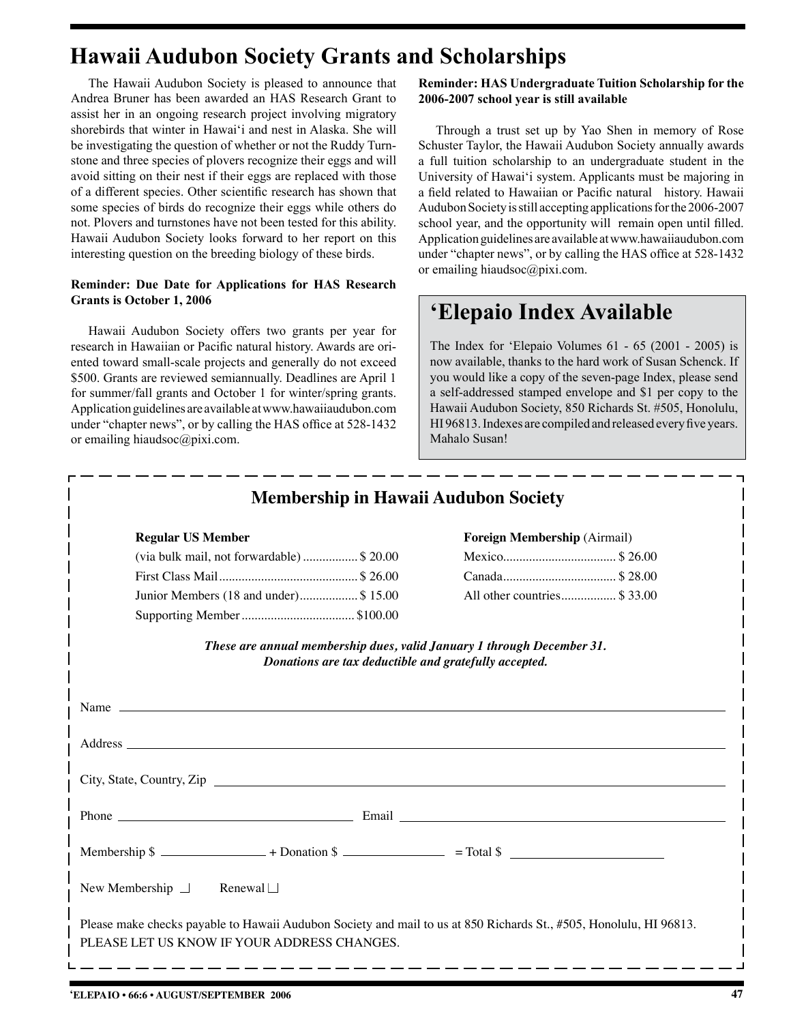### **Hawaii Audubon Society Grants and Scholarships**

The Hawaii Audubon Society is pleased to announce that Andrea Bruner has been awarded an HAS Research Grant to assist her in an ongoing research project involving migratory shorebirds that winter in Hawai'i and nest in Alaska. She will be investigating the question of whether or not the Ruddy Turnstone and three species of plovers recognize their eggs and will avoid sitting on their nest if their eggs are replaced with those of a different species. Other scientific research has shown that some species of birds do recognize their eggs while others do not. Plovers and turnstones have not been tested for this ability. Hawaii Audubon Society looks forward to her report on this interesting question on the breeding biology of these birds.

#### **Reminder: Due Date for Applications for HAS Research Grants is October 1, 2006**

Hawaii Audubon Society offers two grants per year for research in Hawaiian or Pacific natural history. Awards are oriented toward small-scale projects and generally do not exceed \$500. Grants are reviewed semiannually. Deadlines are April 1 for summer/fall grants and October 1 for winter/spring grants. Application guidelines are available at www.hawaiiaudubon.com under "chapter news", or by calling the HAS office at 528-1432 or emailing hiaudsoc@pixi.com.

**Reminder: HAS Undergraduate Tuition Scholarship for the 2006-2007 school year is still available**

Through a trust set up by Yao Shen in memory of Rose Schuster Taylor, the Hawaii Audubon Society annually awards a full tuition scholarship to an undergraduate student in the University of Hawai'i system. Applicants must be majoring in a field related to Hawaiian or Pacific natural history. Hawaii Audubon Society is still accepting applications for the 2006-2007 school year, and the opportunity will remain open until filled. Application guidelines are available at www.hawaiiaudubon.com under "chapter news", or by calling the HAS office at 528-1432 or emailing hiaudsoc@pixi.com.

### **'Elepaio Index Available**

The Index for 'Elepaio Volumes 61 - 65 (2001 - 2005) is now available, thanks to the hard work of Susan Schenck. If you would like a copy of the seven-page Index, please send a self-addressed stamped envelope and \$1 per copy to the Hawaii Audubon Society, 850 Richards St. #505, Honolulu, HI 96813. Indexes are compiled and released every five years. Mahalo Susan!

| <b>Membership in Hawaii Audubon Society</b>                                                                                                                                                                                    |                                     |  |  |  |  |
|--------------------------------------------------------------------------------------------------------------------------------------------------------------------------------------------------------------------------------|-------------------------------------|--|--|--|--|
| <b>Regular US Member</b>                                                                                                                                                                                                       | <b>Foreign Membership (Airmail)</b> |  |  |  |  |
| (via bulk mail, not forwardable)\$ 20.00                                                                                                                                                                                       |                                     |  |  |  |  |
|                                                                                                                                                                                                                                |                                     |  |  |  |  |
| Junior Members (18 and under)\$ 15.00                                                                                                                                                                                          | All other countries \$33.00         |  |  |  |  |
| Supporting Member\$100.00                                                                                                                                                                                                      |                                     |  |  |  |  |
| These are annual membership dues, valid January 1 through December 31.<br>Donations are tax deductible and gratefully accepted.                                                                                                |                                     |  |  |  |  |
| Name $\overline{\phantom{a}}$                                                                                                                                                                                                  |                                     |  |  |  |  |
| Address and the contract of the contract of the contract of the contract of the contract of the contract of the contract of the contract of the contract of the contract of the contract of the contract of the contract of th |                                     |  |  |  |  |
| City, State, Country, Zip                                                                                                                                                                                                      |                                     |  |  |  |  |
|                                                                                                                                                                                                                                |                                     |  |  |  |  |
| Membership $\sin \theta$ + Donation $\sin \theta$ = Total $\sin \theta$                                                                                                                                                        |                                     |  |  |  |  |
| New Membership $\Box$ Renewal $\Box$                                                                                                                                                                                           |                                     |  |  |  |  |
| Please make checks payable to Hawaii Audubon Society and mail to us at 850 Richards St., #505, Honolulu, HI 96813.<br>PLEASE LET US KNOW IF YOUR ADDRESS CHANGES.                                                              |                                     |  |  |  |  |